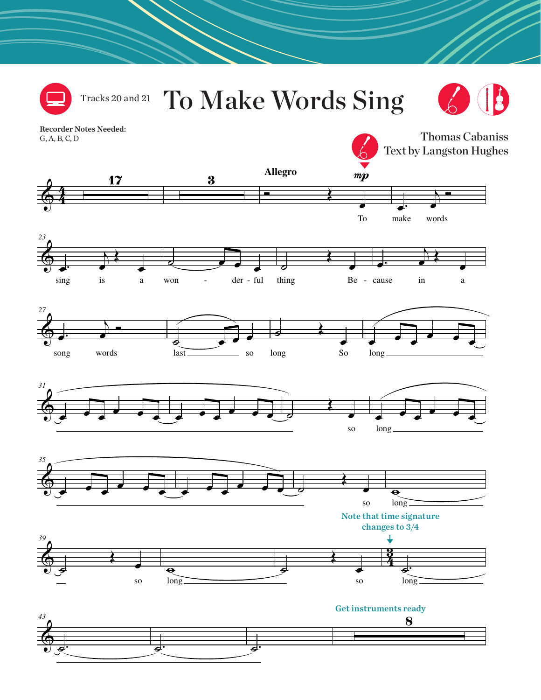

## To Make Words Sing Tracks 20 and 21



Thomas Cabaniss

Recorder Notes Needed: G, A, B, C, D

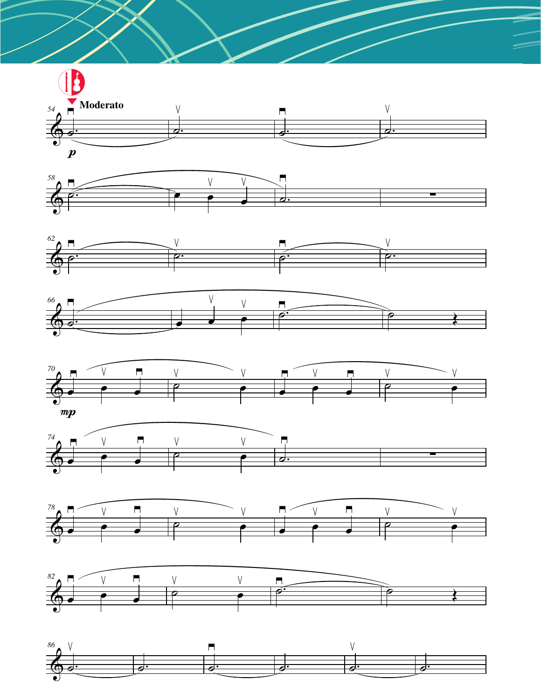